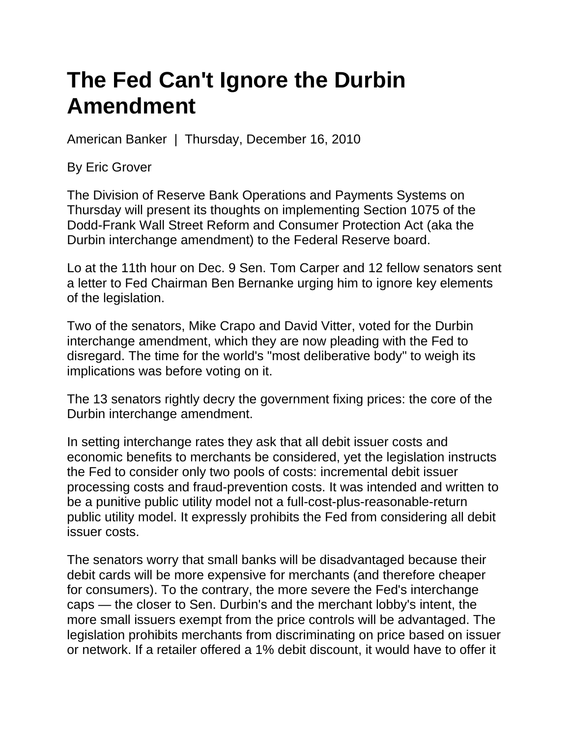## **The Fed Can't Ignore the Durbin Amendment**

American Banker | Thursday, December 16, 2010

By Eric Grover

The Division of Reserve Bank Operations and Payments Systems on Thursday will present its thoughts on implementing Section 1075 of the Dodd-Frank Wall Street Reform and Consumer Protection Act (aka the Durbin interchange amendment) to the Federal Reserve board.

Lo at the 11th hour on Dec. 9 Sen. Tom Carper and 12 fellow senators sent a letter to Fed Chairman Ben Bernanke urging him to ignore key elements of the legislation.

Two of the senators, Mike Crapo and David Vitter, voted for the Durbin interchange amendment, which they are now pleading with the Fed to disregard. The time for the world's "most deliberative body" to weigh its implications was before voting on it.

The 13 senators rightly decry the government fixing prices: the core of the Durbin interchange amendment.

In setting interchange rates they ask that all debit issuer costs and economic benefits to merchants be considered, yet the legislation instructs the Fed to consider only two pools of costs: incremental debit issuer processing costs and fraud-prevention costs. It was intended and written to be a punitive public utility model not a full-cost-plus-reasonable-return public utility model. It expressly prohibits the Fed from considering all debit issuer costs.

The senators worry that small banks will be disadvantaged because their debit cards will be more expensive for merchants (and therefore cheaper for consumers). To the contrary, the more severe the Fed's interchange caps — the closer to Sen. Durbin's and the merchant lobby's intent, the more small issuers exempt from the price controls will be advantaged. The legislation prohibits merchants from discriminating on price based on issuer or network. If a retailer offered a 1% debit discount, it would have to offer it